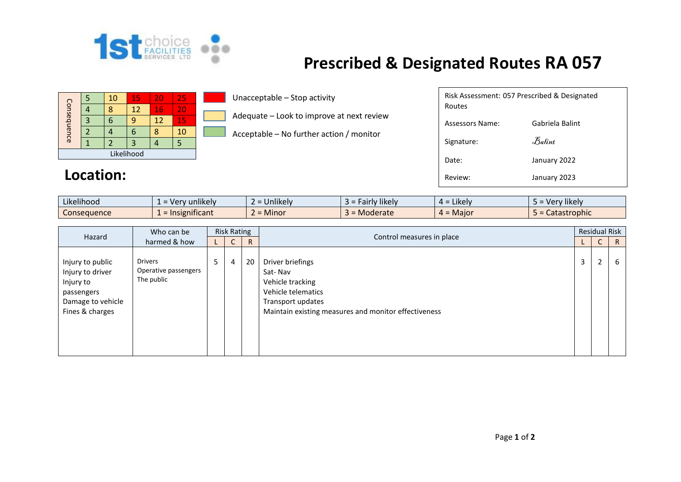

## **Prescribed & Designated Routes RA 057**

| Consequence |  | 10 | 15 | 20 | 25 |  |  |
|-------------|--|----|----|----|----|--|--|
|             |  |    | 12 | 16 | 20 |  |  |
|             |  |    |    | 12 | 15 |  |  |
|             |  |    | n  |    | 10 |  |  |
|             |  |    |    |    |    |  |  |
| Likelihood  |  |    |    |    |    |  |  |

## Location:

Unacceptable – Stop activity

Adequate – Look to improve at next review

Acceptable – No further action / monitor

| Routes          | Risk Assessment: 057 Prescribed & Designated |
|-----------------|----------------------------------------------|
| Assessors Name: | Gabriela Balint                              |
| Signature:      | Balint                                       |
| Date:           | January 2022                                 |
| Review:         | January 2023                                 |

| Likelihood  | $\cdots$<br>Very unlikely | <b>Jnlikely</b><br>$\overline{\phantom{0}}$ | $\cdots$<br><sup>,</sup> likelv<br>Fairl' | .<br>$4 =$ Likely | Very likely. |
|-------------|---------------------------|---------------------------------------------|-------------------------------------------|-------------------|--------------|
| Conseauence | : Insignificant           | $=$ Minor                                   | Moderate                                  | $4 =$ Maior       | Catastrophic |

| Who can be<br>Hazard<br>harmed & how                                                                    | <b>Risk Rating</b>                                   |                |                |                           | <b>Residual Risk</b>                                                                                                                               |   |    |   |
|---------------------------------------------------------------------------------------------------------|------------------------------------------------------|----------------|----------------|---------------------------|----------------------------------------------------------------------------------------------------------------------------------------------------|---|----|---|
|                                                                                                         |                                                      | ◡              | R.             | Control measures in place |                                                                                                                                                    | U | R  |   |
| Injury to public<br>Injury to driver<br>Injury to<br>passengers<br>Damage to vehicle<br>Fines & charges | <b>Drivers</b><br>Operative passengers<br>The public | 5 <sub>1</sub> | $\overline{4}$ | 20                        | Driver briefings<br>Sat-Nav<br>Vehicle tracking<br>Vehicle telematics<br>Transport updates<br>Maintain existing measures and monitor effectiveness | 3 | C. | 6 |